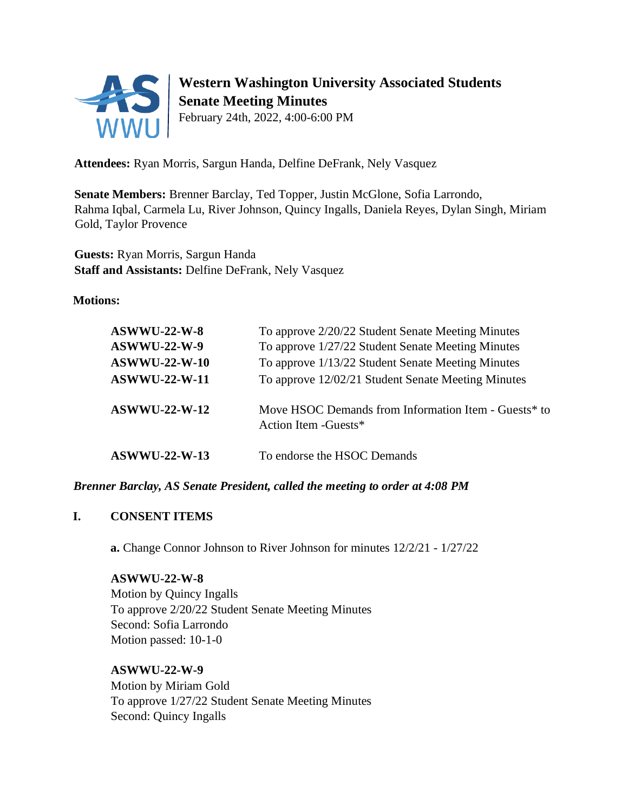

# **Western Washington University Associated Students Senate Meeting Minutes**

February 24th, 2022, 4:00-6:00 PM

**Attendees:** Ryan Morris, Sargun Handa, Delfine DeFrank, Nely Vasquez

**Senate Members:** Brenner Barclay, Ted Topper, Justin McGlone, Sofia Larrondo, Rahma Iqbal, Carmela Lu, River Johnson, Quincy Ingalls, Daniela Reyes, Dylan Singh, Miriam Gold, Taylor Provence

**Guests:** Ryan Morris, Sargun Handa **Staff and Assistants:** Delfine DeFrank, Nely Vasquez

**Motions:** 

| $ASWWU-22-W-8$<br><b>ASWWU-22-W-9</b><br><b>ASWWU-22-W-10</b><br><b>ASWWU-22-W-11</b> | To approve 2/20/22 Student Senate Meeting Minutes<br>To approve 1/27/22 Student Senate Meeting Minutes<br>To approve 1/13/22 Student Senate Meeting Minutes<br>To approve 12/02/21 Student Senate Meeting Minutes |
|---------------------------------------------------------------------------------------|-------------------------------------------------------------------------------------------------------------------------------------------------------------------------------------------------------------------|
| <b>ASWWU-22-W-12</b>                                                                  | Move HSOC Demands from Information Item - Guests* to<br>Action Item - Guests*                                                                                                                                     |
| <b>ASWWU-22-W-13</b>                                                                  | To endorse the HSOC Demands                                                                                                                                                                                       |

*Brenner Barclay, AS Senate President, called the meeting to order at 4:08 PM* 

# **I. CONSENT ITEMS**

**a.** Change Connor Johnson to River Johnson for minutes 12/2/21 - 1/27/22

### **ASWWU-22-W-8**

Motion by Quincy Ingalls To approve 2/20/22 Student Senate Meeting Minutes Second: Sofia Larrondo Motion passed: 10-1-0

# **ASWWU-22-W-9**

Motion by Miriam Gold To approve 1/27/22 Student Senate Meeting Minutes Second: Quincy Ingalls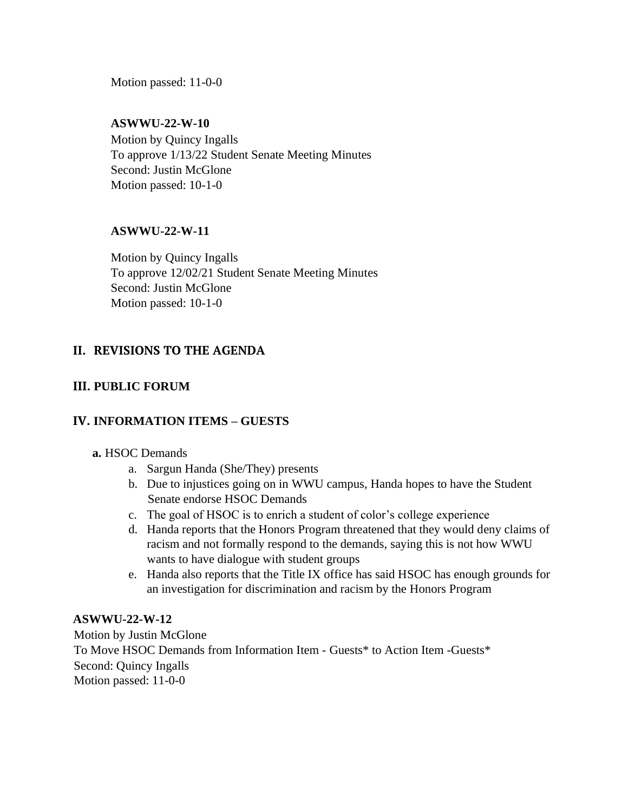Motion passed: 11-0-0

### **ASWWU-22-W-10**

Motion by Quincy Ingalls To approve 1/13/22 Student Senate Meeting Minutes Second: Justin McGlone Motion passed: 10-1-0

### **ASWWU-22-W-11**

Motion by Quincy Ingalls To approve 12/02/21 Student Senate Meeting Minutes Second: Justin McGlone Motion passed: 10-1-0

### **II. REVISIONS TO THE AGENDA**

### **III. PUBLIC FORUM**

### **IV. INFORMATION ITEMS – GUESTS**

### **a.** HSOC Demands

- a. Sargun Handa (She/They) presents
- b. Due to injustices going on in WWU campus, Handa hopes to have the Student Senate endorse HSOC Demands
- c. The goal of HSOC is to enrich a student of color's college experience
- d. Handa reports that the Honors Program threatened that they would deny claims of racism and not formally respond to the demands, saying this is not how WWU wants to have dialogue with student groups
- e. Handa also reports that the Title IX office has said HSOC has enough grounds for an investigation for discrimination and racism by the Honors Program

#### **ASWWU-22-W-12**

Motion by Justin McGlone To Move HSOC Demands from Information Item - Guests\* to Action Item -Guests\* Second: Quincy Ingalls Motion passed: 11-0-0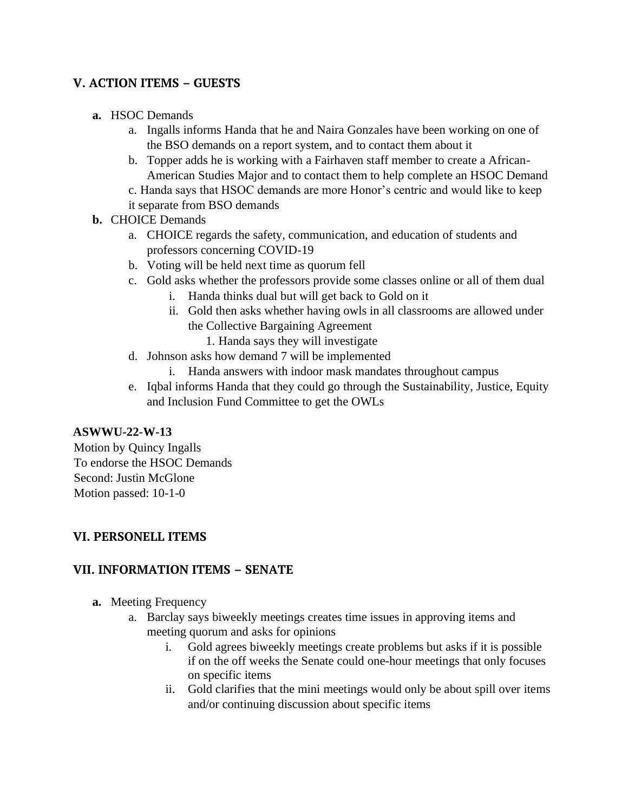# **V. ACTION ITEMS – GUESTS**

- **a.** HSOC Demands
	- a. Ingalls informs Handa that he and Naira Gonzales have been working on one of the BSO demands on a report system, and to contact them about it
	- b. Topper adds he is working with a Fairhaven staff member to create a African-American Studies Major and to contact them to help complete an HSOC Demand
	- c. Handa says that HSOC demands are more Honor's centric and would like to keep
	- it separate from BSO demands

# **b.** CHOICE Demands

- a. CHOICE regards the safety, communication, and education of students and professors concerning COVID-19
- b. Voting will be held next time as quorum fell
- c. Gold asks whether the professors provide some classes online or all of them dual
	- i. Handa thinks dual but will get back to Gold on it
	- ii. Gold then asks whether having owls in all classrooms are allowed under the Collective Bargaining Agreement
		- 1. Handa says they will investigate
- d. Johnson asks how demand 7 will be implemented
	- i. Handa answers with indoor mask mandates throughout campus
- e. Iqbal informs Handa that they could go through the Sustainability, Justice, Equity and Inclusion Fund Committee to get the OWLs

# **ASWWU-22-W-13**

Motion by Quincy Ingalls To endorse the HSOC Demands Second: Justin McGlone Motion passed: 10-1-0

# **VI. PERSONELL ITEMS**

# **VII. INFORMATION ITEMS – SENATE**

- **a.** Meeting Frequency
	- a. Barclay says biweekly meetings creates time issues in approving items and meeting quorum and asks for opinions
		- i. Gold agrees biweekly meetings create problems but asks if it is possible if on the off weeks the Senate could one-hour meetings that only focuses on specific items
		- ii. Gold clarifies that the mini meetings would only be about spill over items and/or continuing discussion about specific items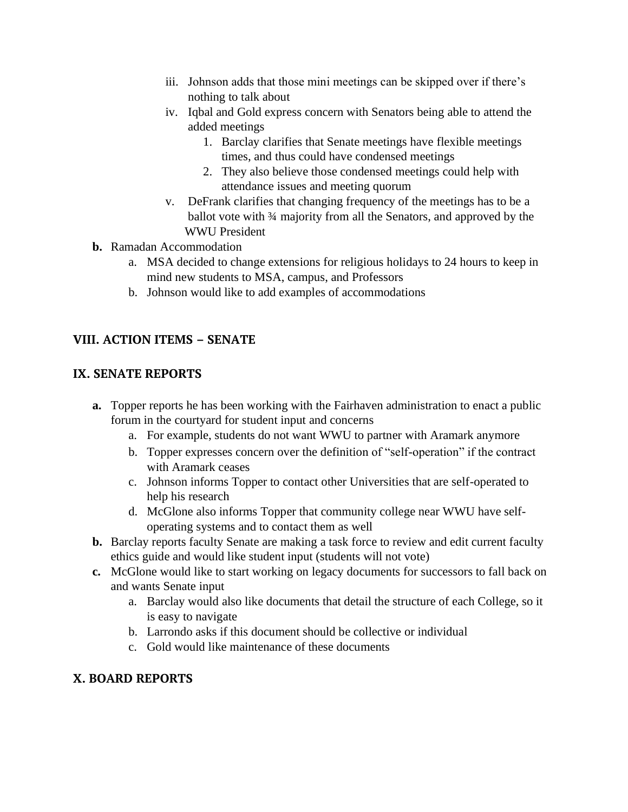- iii. Johnson adds that those mini meetings can be skipped over if there's nothing to talk about
- iv. Iqbal and Gold express concern with Senators being able to attend the added meetings
	- 1. Barclay clarifies that Senate meetings have flexible meetings times, and thus could have condensed meetings
	- 2. They also believe those condensed meetings could help with attendance issues and meeting quorum
- v. DeFrank clarifies that changing frequency of the meetings has to be a ballot vote with ¾ majority from all the Senators, and approved by the WWU President
- **b.** Ramadan Accommodation
	- a. MSA decided to change extensions for religious holidays to 24 hours to keep in mind new students to MSA, campus, and Professors
	- b. Johnson would like to add examples of accommodations

# **VIII. ACTION ITEMS – SENATE**

# **IX. SENATE REPORTS**

- **a.** Topper reports he has been working with the Fairhaven administration to enact a public forum in the courtyard for student input and concerns
	- a. For example, students do not want WWU to partner with Aramark anymore
	- b. Topper expresses concern over the definition of "self-operation" if the contract with Aramark ceases
	- c. Johnson informs Topper to contact other Universities that are self-operated to help his research
	- d. McGlone also informs Topper that community college near WWU have selfoperating systems and to contact them as well
- **b.** Barclay reports faculty Senate are making a task force to review and edit current faculty ethics guide and would like student input (students will not vote)
- **c.** McGlone would like to start working on legacy documents for successors to fall back on and wants Senate input
	- a. Barclay would also like documents that detail the structure of each College, so it is easy to navigate
	- b. Larrondo asks if this document should be collective or individual
	- c. Gold would like maintenance of these documents

# **X. BOARD REPORTS**